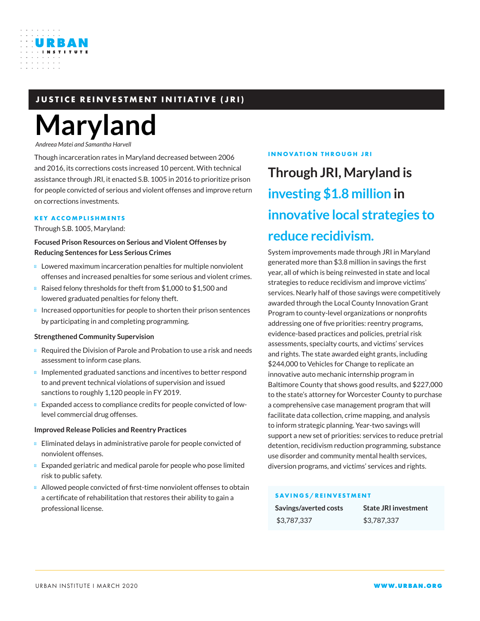## **JUSTICE REINVESTMENT INITIATIVE (JRI)**

# **Maryland**

*Andreea Matei and Samantha Harvell*

URBAN

Though incarceration rates in Maryland decreased between 2006 and 2016, its corrections costs increased 10 percent. With technical assistance through JRI, it enacted S.B. 1005 in 2016 to prioritize prison for people convicted of serious and violent offenses and improve return on corrections investments.

#### **KEY ACCOMPLISHMENTS**

Through S.B. 1005, Maryland:

#### **Focused Prison Resources on Serious and Violent Offenses by Reducing Sentences for Less Serious Crimes**

Lowered maximum incarceration penalties for multiple nonviolent offenses and increased penalties for some serious and violent crimes. Raised felony thresholds for theft from \$1,000 to \$1,500 and lowered graduated penalties for felony theft.

Increased opportunities for people to shorten their prison sentences by participating in and completing programming.

#### **Strengthened Community Supervision**

Required the Division of Parole and Probation to use a risk and needs assessment to inform case plans.

Implemented graduated sanctions and incentives to better respond to and prevent technical violations of supervision and issued sanctions to roughly 1,120 people in FY 2019.

Expanded access to compliance credits for people convicted of lowlevel commercial drug offenses.

#### **Improved Release Policies and Reentry Practices**

Eliminated delays in administrative parole for people convicted of nonviolent offenses.

Expanded geriatric and medical parole for people who pose limited risk to public safety.

Allowed people convicted of first-time nonviolent offenses to obtain a certificate of rehabilitation that restores their ability to gain a professional license.

#### **INNOVATION THROUGH JRI**

**Through JRI, Maryland is investing \$1.8 million in innovative local strategies to reduce recidivism.**

System improvements made through JRI in Maryland generated more than \$3.8 million in savings the first year, all of which is being reinvested in state and local strategies to reduce recidivism and improve victims' services. Nearly half of those savings were competitively awarded through the Local County Innovation Grant Program to county-level organizations or nonprofits addressing one of five priorities: reentry programs, evidence-based practices and policies, pretrial risk assessments, specialty courts, and victims' services and rights. The state awarded eight grants, including \$244,000 to Vehicles for Change to replicate an innovative auto mechanic internship program in Baltimore County that shows good results, and \$227,000 to the state's attorney for Worcester County to purchase a comprehensive case management program that will facilitate data collection, crime mapping, and analysis to inform strategic planning. Year-two savings will support a new set of priorities: services to reduce pretrial detention, recidivism reduction programming, substance use disorder and community mental health services, diversion programs, and victims' services and rights.

#### **SAVINGS/REINVESTMENT**

| Savings/averted costs | <b>State JRI investment</b> |
|-----------------------|-----------------------------|
| \$3,787,337           | \$3,787,337                 |